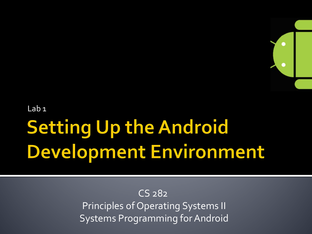

Lab 1

# **Setting Up the Android** Development Environment

CS 282 Principles of Operating Systems II Systems Programming for Android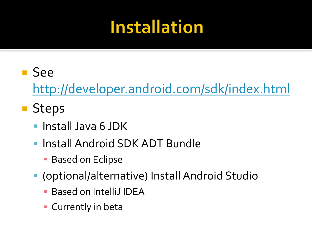#### **Installation**

#### See

<http://developer.android.com/sdk/index.html>

#### **Steps**

- Install Java 6 JDK
- Install Android SDK ADT Bundle
	- **Based on Eclipse**
- (optional/alternative) Install Android Studio
	- Based on IntelliJ IDEA
	- **Exercitly in beta**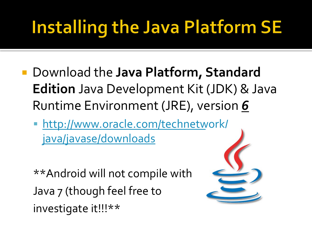## **Installing the Java Platform SE**

- Download the **Java Platform, Standard Edition** Java Development Kit (JDK) & Java Runtime Environment (JRE), version *6*
	- [http://www.oracle.com/technetwork/](http://www.oracle.com/technetwork/java/javase/downloads/index.html) [java/javase/downloads](http://www.oracle.com/technetwork/java/javase/downloads/index.html)

\*\*Android will not compile with Java 7 (though feel free to investigate it!!!\*\*

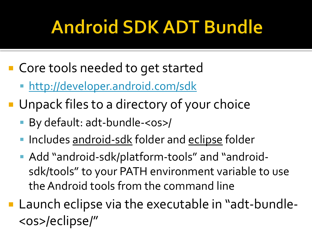## **Android SDK ADT Bundle**

- Core tools needed to get started
	- [http://developer.android.com/sdk](http://developer.android.com/sdk/l)
- **Unpack files to a directory of your choice** 
	- By default: adt-bundle-<os>/
	- Includes android-sdk folder and eclipse folder
	- Add "android-sdk/platform-tools" and "androidsdk/tools" to your PATH environment variable to use the Android tools from the command line
- Launch eclipse via the executable in "adt-bundle-<os>/eclipse/"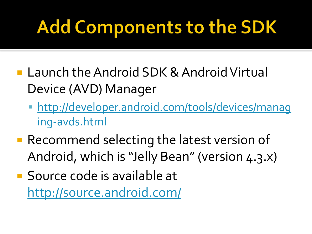## **Add Components to the SDK**

- Launch the Android SDK & Android Virtual Device (AVD) Manager
	- [http://developer.android.com/tools/devices/manag](http://developer.android.com/tools/devices/managing-avds.html) [ing-avds.html](http://developer.android.com/tools/devices/managing-avds.html)
- Recommend selecting the latest version of Android, which is "Jelly Bean" (version 4.3.x)
- Source code is available at <http://source.android.com/>